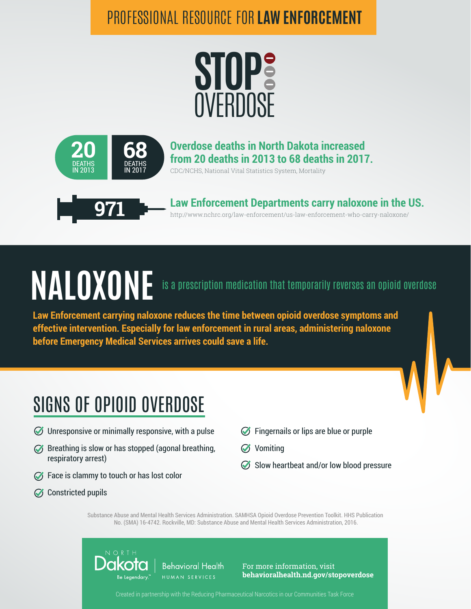#### PROFESSIONAL RESOURCE FOR **LAW ENFORCEMENT**





#### **Overdose deaths in North Dakota increased from 20 deaths in 2013 to 68 deaths in 2017.**

CDC/NCHS, National Vital Statistics System, Mortality



http://www.nchrc.org/law-enforcement/us-law-enforcement-who-carry-naloxone/ **Law Enforcement Departments carry naloxone in the US. 971**

# **NALOXONE** is a prescription medication that temporarily reverses an opioid overdose

**Law Enforcement carrying naloxone reduces the time between opioid overdose symptoms and effective intervention. Especially for law enforcement in rural areas, administering naloxone before Emergency Medical Services arrives could save a life.**

### SIGNS OF OPIOID OVERDOSE

- $\oslash$  Unresponsive or minimally responsive, with a pulse
- $\mathcal{G}$  Breathing is slow or has stopped (agonal breathing, respiratory arrest)
- $\oslash$  Face is clammy to touch or has lost color
- Constricted pupils
- **S** Fingernails or lips are blue or purple
- **S** Vomiting
- $\oslash$  Slow heartbeat and/or low blood pressure

Substance Abuse and Mental Health Services Administration. SAMHSA Opioid Overdose Prevention Toolkit. HHS Publication No. (SMA) 16-4742. Rockville, MD: Substance Abuse and Mental Health Services Administration, 2016.



For more information, visit **behavioralhealth.nd.gov/stopoverdose**

Created in partnership with the Reducing Pharmaceutical Narcotics in our Communities Task Force